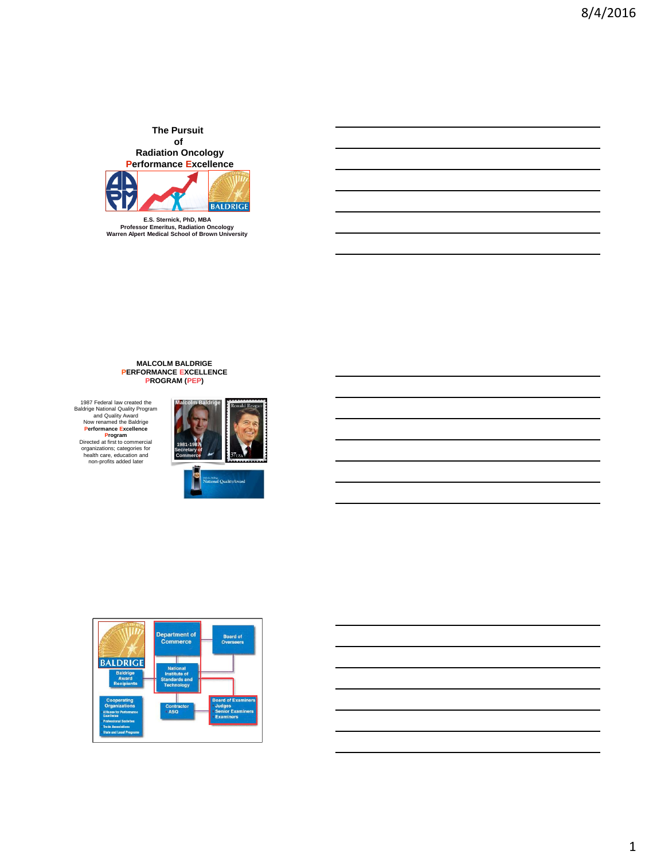**The Pursuit of Radiation Oncology Performance Excellence**



**E.S. Sternick, PhD, MBA Professor Emeritus, Radiation Oncology Warren Alpert Medical School of Brown University**

# **MALCOLM BALDRIGE PERFORMANCE EXCELLENCE PROGRAM (PEP)**

1987 Federal law created the<br>Baldrige National Quality Program<br>and Quality Award<br>Now renamed the Baldrige<br>**Performance Excellence**<br>Directed at first to commercial<br>organizations; categories for<br>health care, education and<br>no





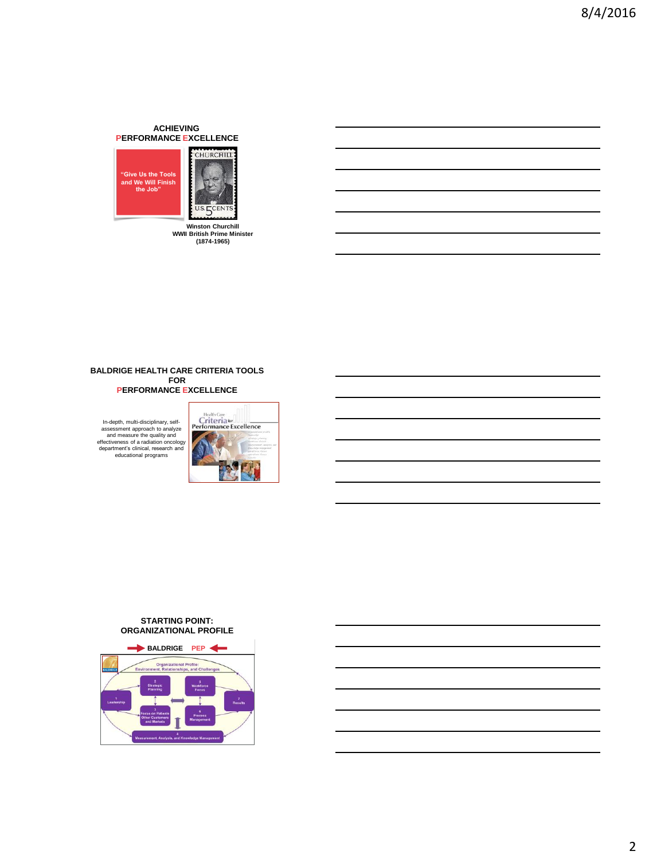## **ACHIEVING PERFORMANCE EXCELLENCE**





**Winston Churchill WWII British Prime Minister (1874-1965)**

#### **BALDRIGE HEALTH CARE CRITERIA TOOLS FOR PERFORMANCE EXCELLENCE**

In-depth, multi-disciplinary, self-assessment approach to analyze and measure the quality and effectiveness of a radiation oncology department's clinical, research and educational programs



#### **STARTING POINT: ORGANIZATIONAL PROFILE**

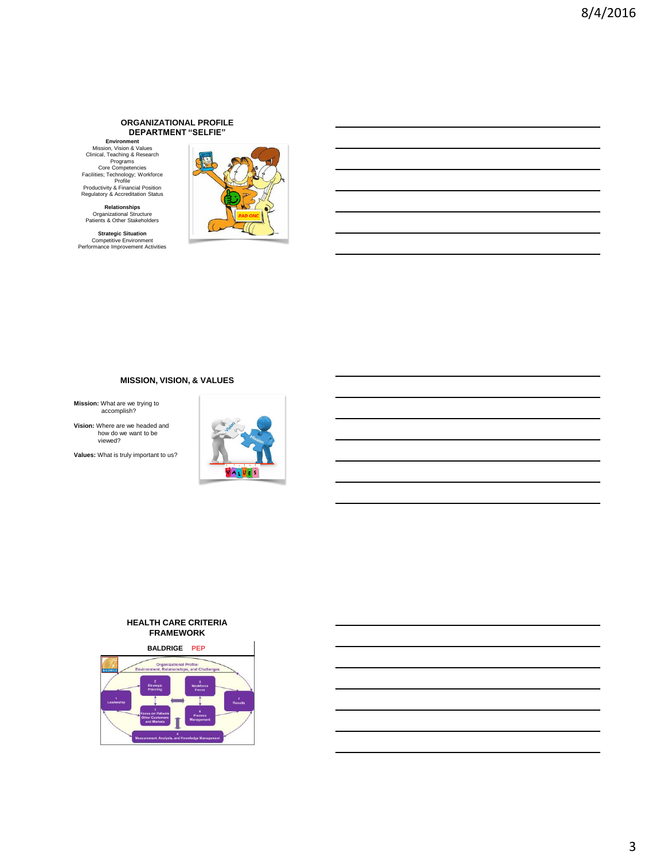#### **ORGANIZATIONAL PROFILE DEPARTMENT "SELFIE"**

**Environment**<br>
Mission, Vision & Values<br>
Clinical, Teaching & Research<br>
Programs<br>
Core Competencies<br>
Facilities; Technology; Workforce<br>
Productivity & Financial Position<br>
Regulatory & Accreditation Status

**Relationships** Organizational Structure Patients & Other Stakeholders

**Strategic Situation** Competitive Environment Performance Improvement Activities



# **MISSION, VISION, & VALUES**

**Mission:** What are we trying to accomplish?

**Vision:** Where are we headed and how do we want to be viewed?

**Values:** What is truly important to us?



#### **HEALTH CARE CRITERIA FRAMEWORK**

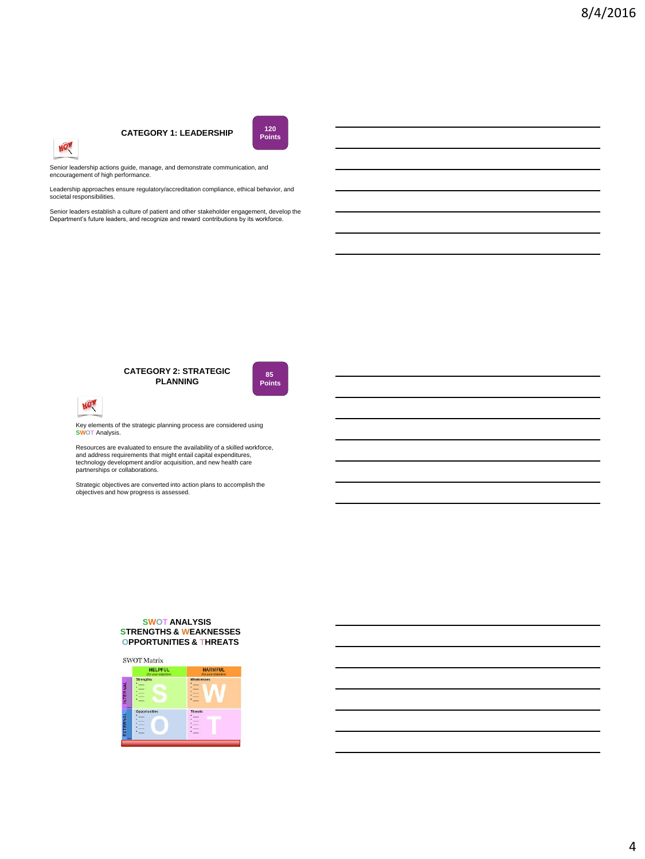# **CATEGORY 1: LEADERSHIP <sup>120</sup>**



Senior leadership actions guide, manage, and demonstrate communication, and encouragement of high performance.

Leadership approaches ensure regulatory/accreditation compliance, ethical behavior, and societal responsibilities.

Senior leaders establish a culture of patient and other stakeholder engagement, develop the Department's future leaders, and recognize and reward contributions by its workforce.

# **CATEGORY 2: STRATEGIC PLANNING**





HOW

Key elements of the strategic planning process are considered using **SWOT** Analysis.

Resources are evaluated to ensure the availability of a skilled workforce, and address requirements that might entail capital expenditures, technology development and/or acquisition, and new health care partnerships or collaborations.

Strategic objectives are converted into action plans to accomplish the objectives and how progress is assessed.

#### **SWOT ANALYSIS STRENGTHS & WEAKNESSES OPPORTUNITIES & THREATS**

**SWOT Matrix** 

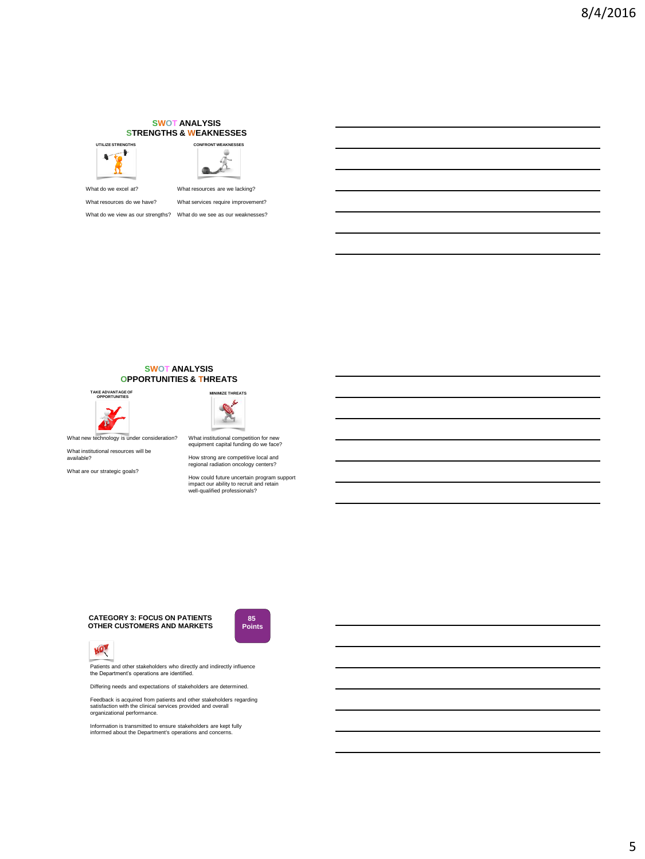#### **SWOT ANALYSIS STRENGTHS & WEAKNESSES**





What do we excel at? What resources are we lacking?

What resources do we have? What services require improvement?

What do we view as our strengths? What do we see as our weaknesses?



#### **SWOT ANALYSIS OPPORTUNITIES & THREATS**

**TAKE ADVANTAGE OF OPPORTUNITIES** 



What new technology is under consideration?

What institutional resources will be available?

What are our strategic goals?



What institutional competition for new equipment capital funding do we face?

How strong are competitive local and regional radiation oncology centers?

How could future uncertain program support impact our ability to recruit and retain well-qualified professionals?

**CATEGORY 3: FOCUS ON PATIENTS OTHER CUSTOMERS AND MARKETS**





Patients and other stakeholders who directly and indirectly influence the Department's operations are identified.

Differing needs and expectations of stakeholders are determined.

Feedback is acquired from patients and other stakeholders regarding satisfaction with the clinical services provided and overall organizational performance.

Information is transmitted to ensure stakeholders are kept fully informed about the Department's operations and concerns.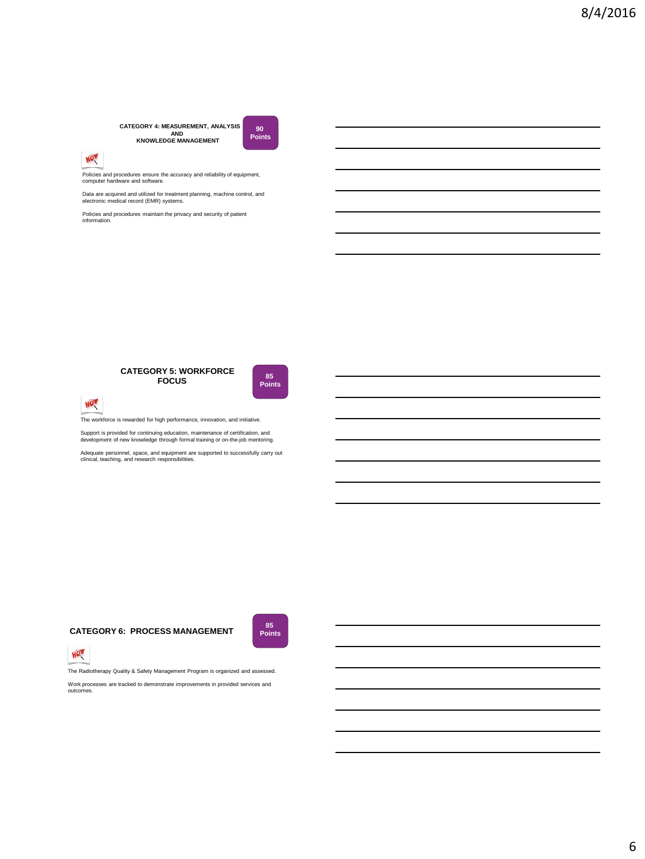# **CATEGORY 4: MEASUREMENT, ANALYSIS AND KNOWLEDGE MANAGEMENT**



Policies and procedures ensure the accuracy and reliability of equipment, computer hardware and software.

Data are acquired and utilized for treatment planning, machine control, and electronic medical record (EMR) systems.

Policies and procedures maintain the privacy and security of patient information.





**90 Points**



The workforce is rewarded for high performance, innovation, and initiative.

Support is provided for continuing education, maintenance of certification, and development of new knowledge through formal training or on-the-job mentoring.

Adequate personnel, space, and equipment are supported to successfully carry out clinical, teaching, and research responsibilities.

# **CATEGORY 6: PROCESS MANAGEMENT Points**





The Radiotherapy Quality & Safety Management Program is organized and assessed.

Work processes are tracked to demonstrate improvements in provided services and outcomes.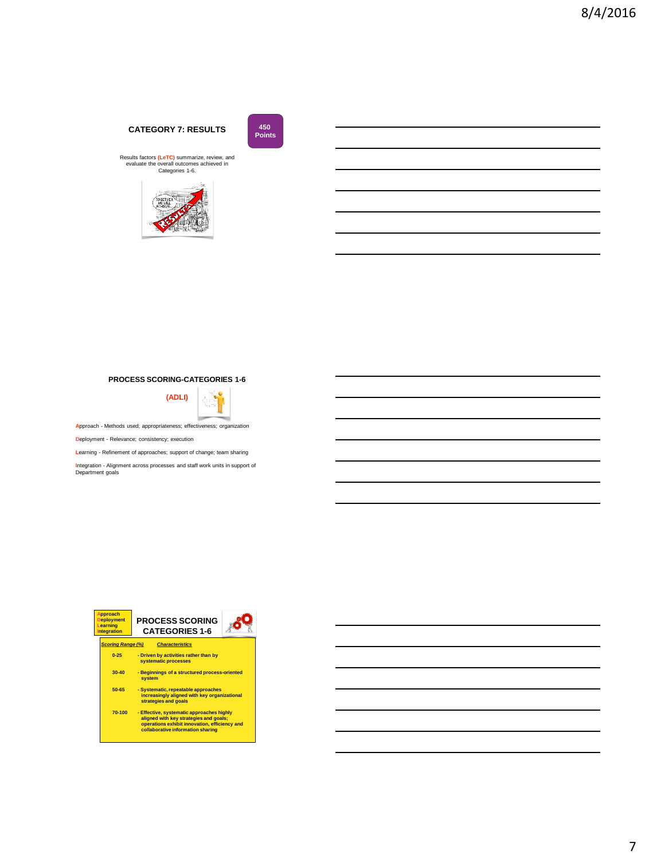# **CATEGORY 7: RESULTS**



Results factors (LeTC) summarize, review, and<br>evaluate the overall outcomes achieved in<br>Categories 1-6.



## **PROCESS SCORING-CATEGORIES 1-6**



**A**pproach - Methods used; appropriateness; effectiveness; organization

**D**eployment - Relevance; consistency; execution

**L**earning - Refinement of approaches; support of change; team sharing

**I**ntegration - Alignment across processes and staff work units in support of Department goals

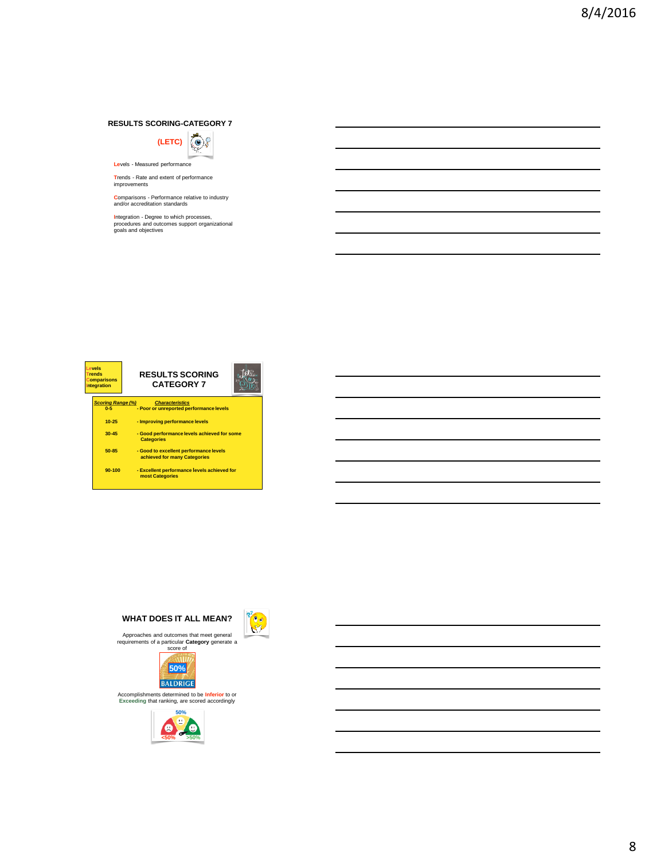#### **RESULTS SCORING-CATEGORY 7**



**Le**vels - Measured performance

**T**rends - Rate and extent of performance improvements

**C**omparisons - Performance relative to industry and/or accreditation standards

**I**ntegration - Degree to which processes, procedures and outcomes support organizational goals and objectives

**Jots Levels Trends RESULTS SCORING Comparisons Integration CATEGORY 7** *Scoring Range (%)**Characteristics* **0-5 - Poor or unreported performance levels 10-25 - Improving performance levels 30-45 - Good performance levels achieved for some Categories 50-85 - Good to excellent performance levels achieved for many Categories 90-100 - Excellent performance levels achieved for most Categories**



Accomplishments determined to be **Inferior** to or **Exceeding** that ranking, are scored accordingly

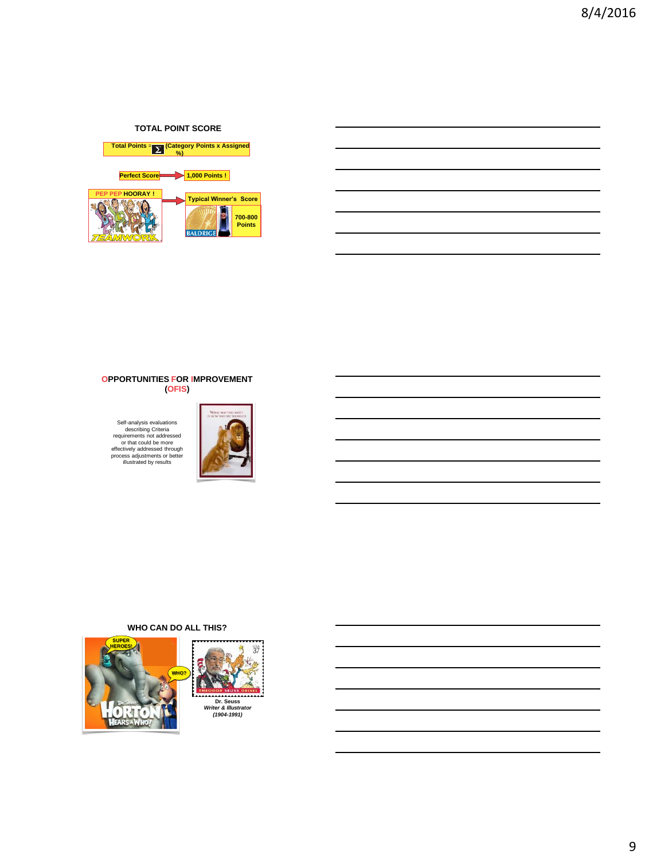# **TOTAL POINT SCORE**



#### **OPPORTUNITIES FOR IMPROVEMENT (OFIS)**

Self-analysis evaluations<br>
describing Criteria<br>
requirements not addressed<br>
or that could be more<br>
effectively addressed through<br>
process adjustments or better<br>
illustrated by results



## **WHO CAN DO ALL THIS?**

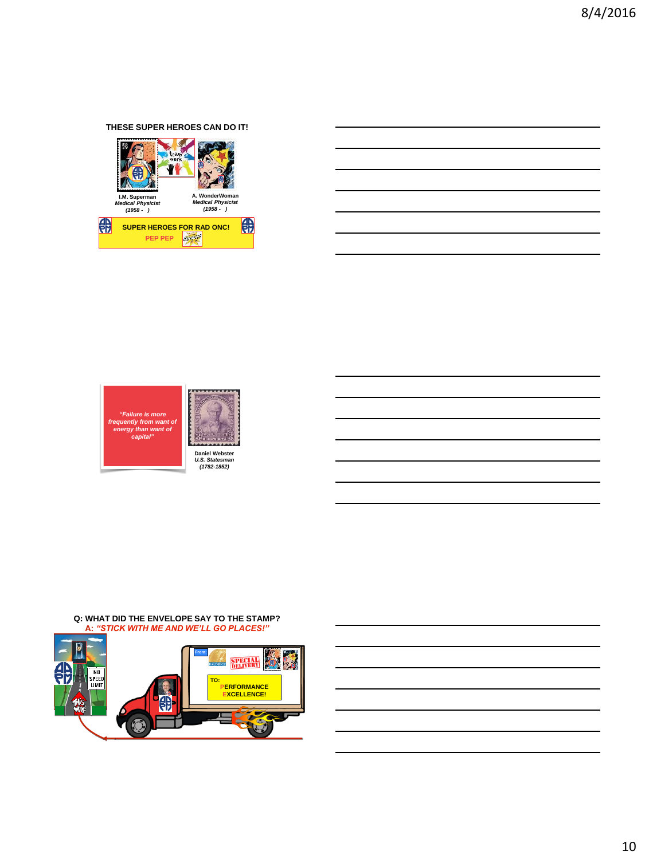# **THESE SUPER HEROES CAN DO IT!**







**Q: WHAT DID THE ENVELOPE SAY TO THE STAMP? A:** *"STICK WITH ME AND WE'LL GO PLACES!"*